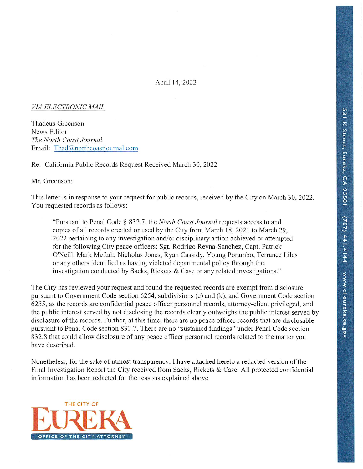April 14, 2022

#### VIA ELECTRONIC MAIL

Thadeus Greenson News Editor The North Coast Journal Email: Thad@northcoastjournal.com

Re: California Public Records Request Received March 30, 2022

Mr. Greenson:

This letter is in response to your request for public records, received by the City on March 30, 2022. You requested records as follows:

"Pursuant to Penal Code § 832.7, the North Coast Journal requests access to and copies of all records created or used by the City from March 18, 2021 to March 29, 2022 pertaining to any investigation and/or disciplinary action achieved or attempted for the following City peace officers: Sgt. Rodrigo Reyna-Sanchez, Capt. Patrick O'Neill, Mark Meftah, Nicholas Jones, Ryan Cassidy, Young Porambo, Terrance Liles or any others identified as having violated departmental policy through the investigation conducted by Sacks, Rickets & Case or any related investigations."

The City has reviewed your request and found the requested records are exempt from disclosure pursuant to Government Code section 6254, subdivisions (c) and (k), and Government Code section 6255, as the records are confidential peace officer personnel records, attorney-client privileged, and the public interest served by not disclosing the records clearly outweighs the public interest served by disclosure of the records. Further, at this time, there are no peace officer records that are disclosable pursuant to Penal Code section 832.7. There are no "sustained findings" under Penal Code section 832.8 that could allow disclosure of any peace officer personnel records related to the matter you have described.

Nonetheless, for the sake of utmost transparency, I have attached hereto a redacted version of the Final Investigation Report the City received from Sacks, Rickets & Case. All protected confidential information has been redacted for the reasons explained above.

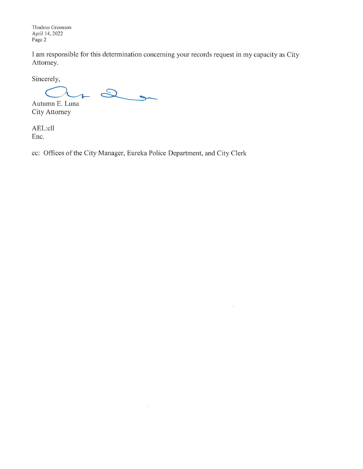Thadeus Greenson April 14, 2022 Page 2

I am responsible for this determination concerning your records request in my capacity as City Attorney.

 $\tilde{\mathcal{L}}$ 

Sincerely,

 $2,$  $\overline{1}$ 

Autumn E. Luna City Attorney

AEL:cll Enc.

cc: Offices of the City Manager, Eureka Police Department, and City Clerk

 $\ddot{\phantom{0}}$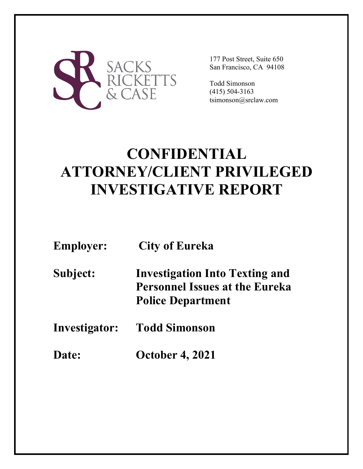

177 Post Street, Suite 650 San Francisco, CA 94108

Todd Simonson (415) 504-3163 tsimonson@srclaw.com

# **CONFIDENTIAL ATTORNEY/CLIENT PRIVILEGED INVESTIGATIVE REPORT**

| <b>Employer:</b> | <b>City of Eureka</b>                                                                                      |
|------------------|------------------------------------------------------------------------------------------------------------|
| Subject:         | <b>Investigation Into Texting and</b><br><b>Personnel Issues at the Eureka</b><br><b>Police Department</b> |
| Investigator:    | <b>Todd Simonson</b>                                                                                       |
| <b>Date:</b>     | <b>October 4, 2021</b>                                                                                     |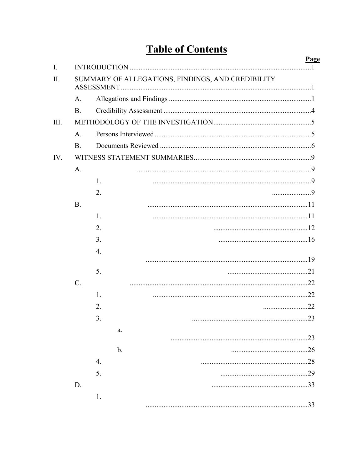# **Table of Contents**

|     |                 |    | <b>Page</b>                                       |  |
|-----|-----------------|----|---------------------------------------------------|--|
| I.  |                 |    |                                                   |  |
| Π.  |                 |    | SUMMARY OF ALLEGATIONS, FINDINGS, AND CREDIBILITY |  |
|     | A.              |    |                                                   |  |
|     | <b>B.</b>       |    |                                                   |  |
| Ш.  |                 |    |                                                   |  |
|     | A.              |    |                                                   |  |
|     | <b>B.</b>       |    |                                                   |  |
| IV. |                 |    |                                                   |  |
|     | A.              |    |                                                   |  |
|     |                 | 1. |                                                   |  |
|     |                 | 2. |                                                   |  |
|     | <b>B.</b>       |    |                                                   |  |
|     |                 | 1. |                                                   |  |
|     |                 | 2. |                                                   |  |
|     |                 | 3. |                                                   |  |
|     |                 | 4. |                                                   |  |
|     |                 |    |                                                   |  |
|     |                 | 5. |                                                   |  |
|     | $\mathcal{C}$ . |    |                                                   |  |
|     |                 | 1. |                                                   |  |
|     |                 | 2. | 22                                                |  |
|     |                 | 3. | 23                                                |  |
|     |                 | a. |                                                   |  |
|     |                 |    |                                                   |  |
|     |                 | b. |                                                   |  |
|     |                 | 4. |                                                   |  |
|     |                 | 5. |                                                   |  |
|     | D.              |    |                                                   |  |
|     |                 | 1. | .33                                               |  |
|     |                 |    |                                                   |  |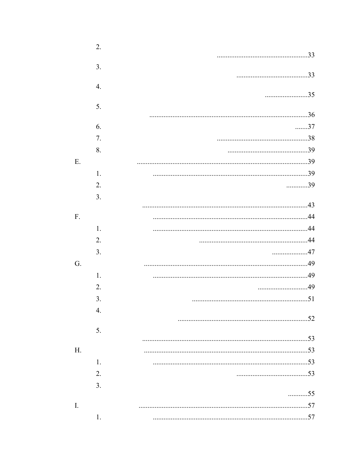|    | 2. |    |
|----|----|----|
|    |    |    |
|    | 3. |    |
|    |    |    |
|    | 4. | 35 |
|    |    |    |
|    | 5. |    |
|    | 6. | 37 |
|    | 7. |    |
|    | 8. |    |
| Ε. |    |    |
|    | 1. |    |
|    | 2. | 39 |
|    | 3. |    |
|    |    |    |
| F. |    |    |
|    | 1. |    |
|    | 2. |    |
|    | 3. | 47 |
| G. |    |    |
|    | 1. |    |
|    | 2. | 49 |
|    | 3. |    |
|    | 4. |    |
|    |    |    |
|    | 5. |    |
|    |    |    |
| H. |    |    |
|    | 1. |    |
|    | 2. |    |
|    | 3. | 55 |
|    |    |    |
| I. |    |    |
|    | 1. |    |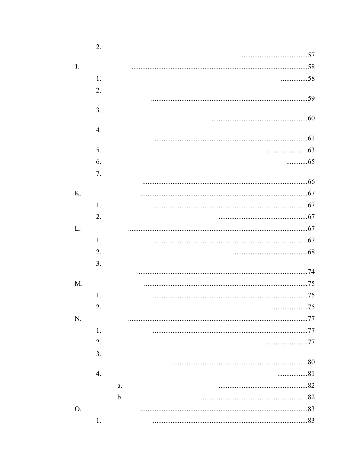|                                  | 2.               |    |
|----------------------------------|------------------|----|
|                                  |                  |    |
|                                  |                  | J. |
| 58                               | 1.               |    |
|                                  | 2.               |    |
|                                  |                  |    |
|                                  | 3.               |    |
|                                  | $\overline{4}$ . |    |
|                                  |                  |    |
|                                  | 5.               |    |
| $\ldots \ldots \ldots \ldots 65$ | 6.               |    |
|                                  | 7.               |    |
|                                  |                  |    |
|                                  |                  | K. |
|                                  | 1.               |    |
|                                  | 2.               |    |
|                                  |                  | L. |
|                                  | 1.               |    |
|                                  | 2.               |    |
|                                  | 3.               |    |
|                                  |                  |    |
|                                  |                  | M. |
|                                  | 1.               |    |
| 75                               | 2.               |    |
|                                  |                  | N. |
|                                  | 1.               |    |
| 77                               | 2.               |    |
|                                  | 3.               |    |
|                                  |                  |    |
| 81                               | 4.               |    |
|                                  | a.               |    |
|                                  | $\mathbf b$ .    |    |
|                                  |                  | O. |
|                                  | 1.               |    |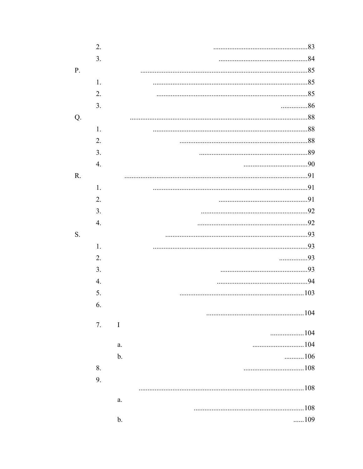|    | 2. |                 |
|----|----|-----------------|
|    | 3. |                 |
| P. |    |                 |
|    | 1. |                 |
|    | 2. |                 |
|    | 3. | 86              |
| Q. |    |                 |
|    | 1. |                 |
|    | 2. |                 |
|    | 3. |                 |
|    | 4. |                 |
| R. |    |                 |
|    | 1. |                 |
|    | 2. |                 |
|    | 3. |                 |
|    | 4. |                 |
| S. |    |                 |
|    | 1. |                 |
|    | 2. | 93              |
|    | 3. |                 |
|    | 4. |                 |
|    | 5. |                 |
|    | 6. |                 |
|    |    |                 |
|    | 7. | $\bf{I}$<br>104 |
|    |    | a.              |
|    |    | 106<br>b.       |
|    | 8. |                 |
|    | 9. |                 |
|    |    | 108             |
|    |    | a.              |
|    |    |                 |
|    |    | 109<br>b.       |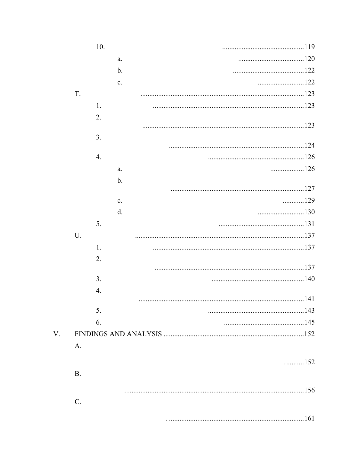|    |           | 10.              |                |                                   |
|----|-----------|------------------|----------------|-----------------------------------|
|    |           |                  | a.             |                                   |
|    |           |                  | $\mathbf{b}$ . |                                   |
|    |           |                  | c.             |                                   |
|    | T.        |                  |                |                                   |
|    |           | 1.               |                |                                   |
|    |           | 2.               |                |                                   |
|    |           |                  |                |                                   |
|    |           | 3.               |                |                                   |
|    |           |                  |                |                                   |
|    |           | $\overline{4}$ . |                |                                   |
|    |           |                  | a.             | 126                               |
|    |           |                  | $\mathbf{b}$ . |                                   |
|    |           |                  | c.             | 129                               |
|    |           |                  | d.             |                                   |
|    |           | 5.               |                |                                   |
|    | U.        |                  |                |                                   |
|    |           | 1.               |                |                                   |
|    |           | 2.               |                |                                   |
|    |           |                  |                |                                   |
|    |           | 3.               |                |                                   |
|    |           | 4.               |                |                                   |
|    |           |                  |                |                                   |
|    |           | 5.               |                |                                   |
|    |           | 6.               |                |                                   |
| V. |           |                  |                |                                   |
|    | A.        |                  |                |                                   |
|    |           |                  |                | $\ldots \ldots \ldots \ldots 152$ |
|    | <b>B.</b> |                  |                |                                   |
|    |           |                  |                |                                   |
|    |           |                  |                |                                   |
|    | $C$ .     |                  |                |                                   |
|    |           |                  |                | 161                               |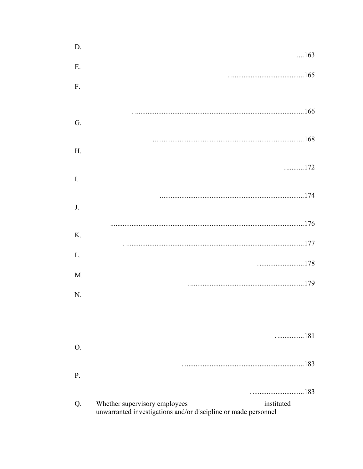| D. | $\dots 163$                                                                                                   |
|----|---------------------------------------------------------------------------------------------------------------|
| E. |                                                                                                               |
| F. |                                                                                                               |
|    |                                                                                                               |
| G. |                                                                                                               |
|    |                                                                                                               |
| H. |                                                                                                               |
| I. | 172                                                                                                           |
|    |                                                                                                               |
| J. |                                                                                                               |
|    |                                                                                                               |
| Κ. |                                                                                                               |
| L. |                                                                                                               |
| M. |                                                                                                               |
| N. |                                                                                                               |
|    |                                                                                                               |
|    |                                                                                                               |
| O. |                                                                                                               |
|    |                                                                                                               |
| P. |                                                                                                               |
| Q. | instituted<br>Whether supervisory employees<br>unwarranted investigations and/or discipline or made personnel |
|    |                                                                                                               |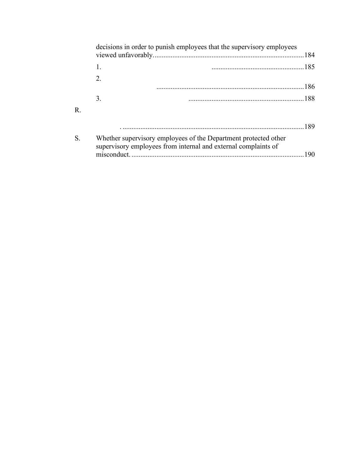|    | decisions in order to punish employees that the supervisory employees                                                             |  |
|----|-----------------------------------------------------------------------------------------------------------------------------------|--|
|    |                                                                                                                                   |  |
|    | $2_{-}$                                                                                                                           |  |
|    | 3.                                                                                                                                |  |
| R. |                                                                                                                                   |  |
|    |                                                                                                                                   |  |
| S. | Whether supervisory employees of the Department protected other<br>supervisory employees from internal and external complaints of |  |
|    |                                                                                                                                   |  |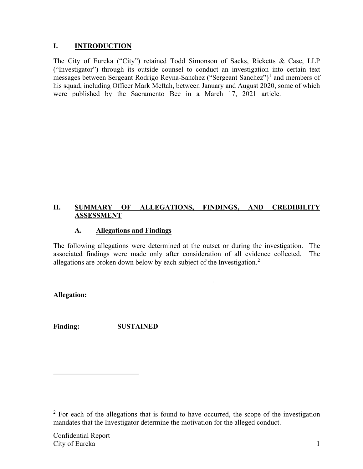#### **I. INTRODUCTION**

The City of Eureka ("City") retained Todd Simonson of Sacks, Ricketts & Case, LLP ("Investigator") through its outside counsel to conduct an investigation into certain text messages between Sergeant Rodrigo Reyna-Sanchez ("Sergeant Sanchez")<sup>1</sup> and members of his squad, including Officer Mark Meftah, between January and August 2020, some of which were published by the Sacramento Bee in a March 17, 2021 article.

#### **II. SUMMARY OF ALLEGATIONS, FINDINGS, AND CREDIBILITY ASSESSMENT**

#### **A. Allegations and Findings**

The following allegations were determined at the outset or during the investigation. The associated findings were made only after consideration of all evidence collected. The allegations are broken down below by each subject of the Investigation. $2$ 

**Allegation:**

**Finding: SUSTAINED**

 $2$  For each of the allegations that is found to have occurred, the scope of the investigation mandates that the Investigator determine the motivation for the alleged conduct.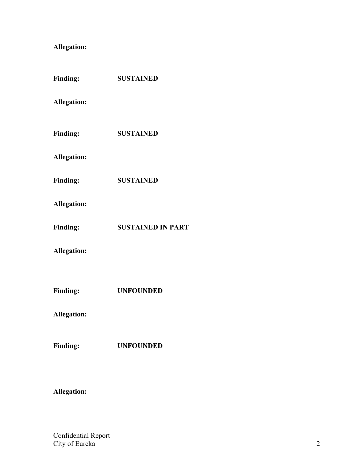# **Allegation:**

| <b>Finding:</b>    | <b>SUSTAINED</b>         |
|--------------------|--------------------------|
| <b>Allegation:</b> |                          |
| <b>Finding:</b>    | <b>SUSTAINED</b>         |
| <b>Allegation:</b> |                          |
| <b>Finding:</b>    | <b>SUSTAINED</b>         |
| <b>Allegation:</b> |                          |
| <b>Finding:</b>    | <b>SUSTAINED IN PART</b> |
| <b>Allegation:</b> |                          |
|                    |                          |
| <b>Finding:</b>    | <b>UNFOUNDED</b>         |
| <b>Allegation:</b> |                          |
| <b>Finding:</b>    | <b>UNFOUNDED</b>         |
|                    |                          |

# **Allegation:**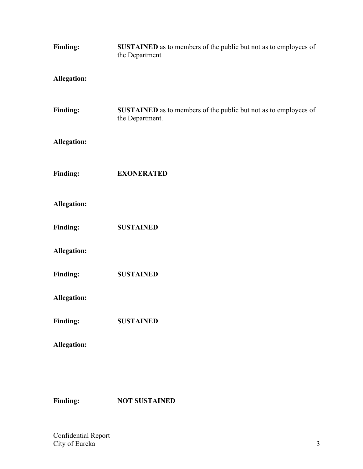| <b>Finding:</b>    | SUSTAINED as to members of the public but not as to employees of<br>the Department  |
|--------------------|-------------------------------------------------------------------------------------|
| <b>Allegation:</b> |                                                                                     |
| <b>Finding:</b>    | SUSTAINED as to members of the public but not as to employees of<br>the Department. |
| <b>Allegation:</b> |                                                                                     |
| <b>Finding:</b>    | <b>EXONERATED</b>                                                                   |
| <b>Allegation:</b> |                                                                                     |
| <b>Finding:</b>    | <b>SUSTAINED</b>                                                                    |
| <b>Allegation:</b> |                                                                                     |
| <b>Finding:</b>    | <b>SUSTAINED</b>                                                                    |
| <b>Allegation:</b> |                                                                                     |
| <b>Finding:</b>    | <b>SUSTAINED</b>                                                                    |
| <b>Allegation:</b> |                                                                                     |
|                    |                                                                                     |

**Finding: NOT SUSTAINED**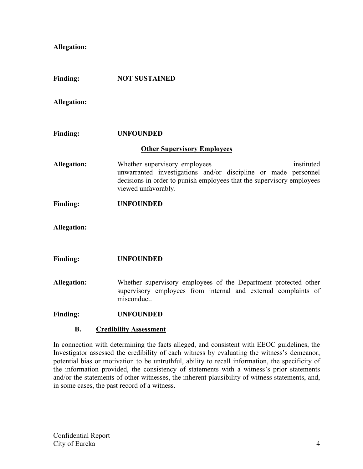**Allegation:**

| Finding:           | <b>NOT SUSTAINED</b>                                                                                                                                                                                          |
|--------------------|---------------------------------------------------------------------------------------------------------------------------------------------------------------------------------------------------------------|
| <b>Allegation:</b> |                                                                                                                                                                                                               |
| <b>Finding:</b>    | <b>UNFOUNDED</b>                                                                                                                                                                                              |
|                    | <b>Other Supervisory Employees</b>                                                                                                                                                                            |
| <b>Allegation:</b> | Whether supervisory employees<br>instituted<br>unwarranted investigations and/or discipline or made personnel<br>decisions in order to punish employees that the supervisory employees<br>viewed unfavorably. |
| <b>Finding:</b>    | <b>UNFOUNDED</b>                                                                                                                                                                                              |
| <b>Allegation:</b> |                                                                                                                                                                                                               |
| <b>Finding:</b>    | <b>UNFOUNDED</b>                                                                                                                                                                                              |
| <b>Allegation:</b> | Whether supervisory employees of the Department protected other<br>supervisory employees from internal and external complaints of<br>misconduct.                                                              |
| <b>Finding:</b>    | <b>UNFOUNDED</b>                                                                                                                                                                                              |
| <b>B.</b>          | <b>Credibility Assessment</b>                                                                                                                                                                                 |
|                    | In connection with determining the facts alleged, and consistent with EEOC guidelines, the                                                                                                                    |

Investigator assessed the credibility of each witness by evaluating the witness's demeanor, potential bias or motivation to be untruthful, ability to recall information, the specificity of the information provided, the consistency of statements with a witness's prior statements and/or the statements of other witnesses, the inherent plausibility of witness statements, and, in some cases, the past record of a witness.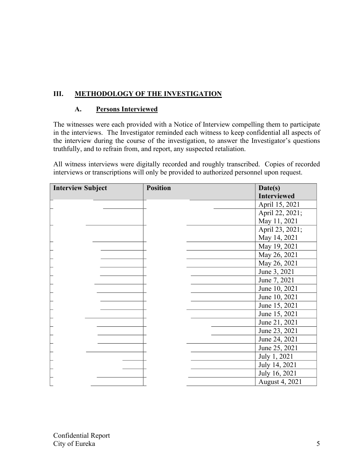# **III. METHODOLOGY OF THE INVESTIGATION**

#### **A. Persons Interviewed**

The witnesses were each provided with a Notice of Interview compelling them to participate in the interviews. The Investigator reminded each witness to keep confidential all aspects of the interview during the course of the investigation, to answer the Investigator's questions truthfully, and to refrain from, and report, any suspected retaliation.

All witness interviews were digitally recorded and roughly transcribed. Copies of recorded interviews or transcriptions will only be provided to authorized personnel upon request.

| <b>Interview Subject</b> | <b>Position</b> | Date(s)            |
|--------------------------|-----------------|--------------------|
|                          |                 | <b>Interviewed</b> |
|                          |                 | April 15, 2021     |
|                          |                 | April 22, 2021;    |
|                          |                 | May 11, 2021       |
|                          |                 | April 23, 2021;    |
|                          |                 | May 14, 2021       |
|                          |                 | May 19, 2021       |
|                          |                 | May 26, 2021       |
|                          |                 | May 26, 2021       |
|                          |                 | June 3, 2021       |
|                          |                 | June 7, 2021       |
|                          |                 | June 10, 2021      |
|                          |                 | June 10, 2021      |
|                          |                 | June 15, 2021      |
|                          |                 | June 15, 2021      |
|                          |                 | June 21, 2021      |
|                          |                 | June 23, 2021      |
|                          |                 | June 24, 2021      |
|                          |                 | June 25, 2021      |
|                          |                 | July 1, 2021       |
|                          |                 | July 14, 2021      |
|                          |                 | July 16, 2021      |
|                          |                 | August 4, 2021     |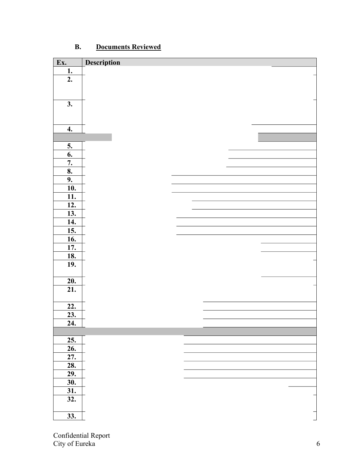| Ex.               | <b>Description</b> |  |  |  |
|-------------------|--------------------|--|--|--|
| 1.                |                    |  |  |  |
| 2.                |                    |  |  |  |
|                   |                    |  |  |  |
|                   |                    |  |  |  |
| 3.                |                    |  |  |  |
|                   |                    |  |  |  |
|                   |                    |  |  |  |
| 4.                |                    |  |  |  |
|                   |                    |  |  |  |
| 5.                |                    |  |  |  |
| 6.                |                    |  |  |  |
| 7.                |                    |  |  |  |
| 8.                |                    |  |  |  |
| 9.                |                    |  |  |  |
| <b>10.</b>        |                    |  |  |  |
| <u>11.</u>        |                    |  |  |  |
| 12.               |                    |  |  |  |
| <u>13.</u>        |                    |  |  |  |
| 14.               |                    |  |  |  |
| 15.               |                    |  |  |  |
| 16.               |                    |  |  |  |
| $\overline{17}$ . |                    |  |  |  |
| <b>18.</b>        |                    |  |  |  |
| 19.               |                    |  |  |  |
|                   |                    |  |  |  |
| 20.               |                    |  |  |  |
| 21.               |                    |  |  |  |
|                   |                    |  |  |  |
| 22.               |                    |  |  |  |
| $\frac{23}{2}$    |                    |  |  |  |
| 24.               |                    |  |  |  |
|                   |                    |  |  |  |
| 25.               |                    |  |  |  |
| 26.               |                    |  |  |  |
| 27.               |                    |  |  |  |
| 28.               |                    |  |  |  |
| 29.               |                    |  |  |  |
| 30.               |                    |  |  |  |
| 31.               |                    |  |  |  |
| $\overline{32}$ . |                    |  |  |  |
|                   |                    |  |  |  |
| $\overline{33}$ . |                    |  |  |  |
|                   |                    |  |  |  |

# **B. Documents Reviewed**

Confidential Report City of Eureka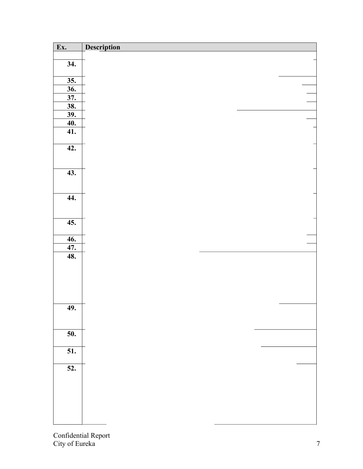| Ex.               | Description |  |  |
|-------------------|-------------|--|--|
|                   |             |  |  |
| 34.               |             |  |  |
|                   |             |  |  |
| 35.               |             |  |  |
| 36.               |             |  |  |
| 37.               |             |  |  |
| <u>38.</u>        |             |  |  |
| <u>39.</u><br>40. |             |  |  |
| 41.               |             |  |  |
|                   |             |  |  |
| 42.               |             |  |  |
|                   |             |  |  |
|                   |             |  |  |
| 43.               |             |  |  |
|                   |             |  |  |
|                   |             |  |  |
| 44.               |             |  |  |
|                   |             |  |  |
|                   |             |  |  |
| $\overline{45.}$  |             |  |  |
| <b>46.</b>        |             |  |  |
| 47.               |             |  |  |
| 48.               |             |  |  |
|                   |             |  |  |
|                   |             |  |  |
|                   |             |  |  |
|                   |             |  |  |
|                   |             |  |  |
| 49.               |             |  |  |
|                   |             |  |  |
|                   |             |  |  |
| $\overline{50}$ . |             |  |  |
|                   |             |  |  |
| $\overline{51}$ . |             |  |  |
|                   |             |  |  |
| $\overline{52.}$  |             |  |  |
|                   |             |  |  |
|                   |             |  |  |
|                   |             |  |  |
|                   |             |  |  |
|                   |             |  |  |
|                   |             |  |  |

Confidential Report City of Eureka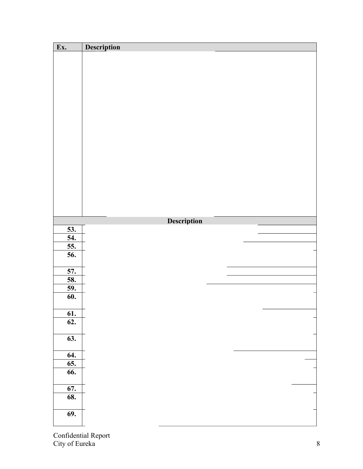| Ex.              | Description |             |  |
|------------------|-------------|-------------|--|
|                  |             |             |  |
|                  |             |             |  |
|                  |             |             |  |
|                  |             |             |  |
|                  |             |             |  |
|                  |             |             |  |
|                  |             |             |  |
|                  |             |             |  |
|                  |             |             |  |
|                  |             |             |  |
|                  |             |             |  |
|                  |             |             |  |
|                  |             |             |  |
|                  |             |             |  |
|                  |             |             |  |
|                  |             |             |  |
|                  |             |             |  |
|                  |             |             |  |
|                  |             |             |  |
|                  |             |             |  |
|                  |             | Description |  |
| <u>53.</u>       |             |             |  |
| 54.              |             |             |  |
| 55.              |             |             |  |
| 56.              |             |             |  |
|                  |             |             |  |
| 57.              |             |             |  |
| 58.              |             |             |  |
| <u>59.</u>       |             |             |  |
| 60.              |             |             |  |
|                  |             |             |  |
| <b>61.</b>       |             |             |  |
| $\overline{62.}$ |             |             |  |
|                  |             |             |  |
| 63.              |             |             |  |
|                  |             |             |  |
| 64.              |             |             |  |
| 65.              |             |             |  |
| 66.              |             |             |  |
|                  |             |             |  |
| 67.              |             |             |  |
| 68.              |             |             |  |
|                  |             |             |  |
| <b>69.</b>       |             |             |  |
|                  |             |             |  |

Confidential Report City of Eureka 8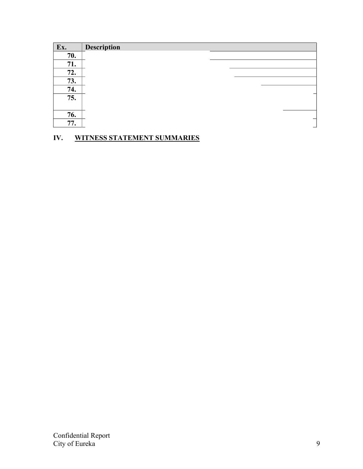| Ex. | <b>Description</b> |  |   |
|-----|--------------------|--|---|
| 70. |                    |  |   |
| 71. |                    |  |   |
| 72. |                    |  |   |
| 73. |                    |  |   |
| 74. |                    |  |   |
| 75. |                    |  |   |
| 76. |                    |  |   |
| 77. |                    |  | – |

# **IV. WITNESS STATEMENT SUMMARIES**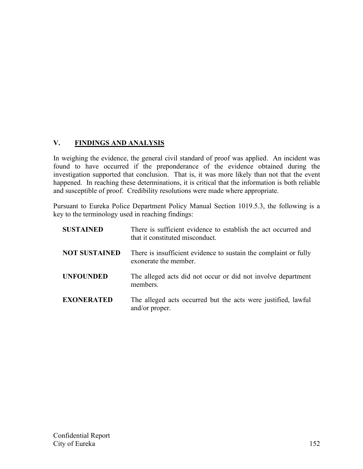## **V. FINDINGS AND ANALYSIS**

In weighing the evidence, the general civil standard of proof was applied. An incident was found to have occurred if the preponderance of the evidence obtained during the investigation supported that conclusion. That is, it was more likely than not that the event happened. In reaching these determinations, it is critical that the information is both reliable and susceptible of proof. Credibility resolutions were made where appropriate.

Pursuant to Eureka Police Department Policy Manual Section 1019.5.3, the following is a key to the terminology used in reaching findings:

| <b>SUSTAINED</b>     | There is sufficient evidence to establish the act occurred and<br>that it constituted misconduct. |
|----------------------|---------------------------------------------------------------------------------------------------|
| <b>NOT SUSTAINED</b> | There is insufficient evidence to sustain the complaint or fully<br>exonerate the member.         |
| <b>UNFOUNDED</b>     | The alleged acts did not occur or did not involve department<br>members.                          |
| <b>EXONERATED</b>    | The alleged acts occurred but the acts were justified, lawful<br>and/or proper.                   |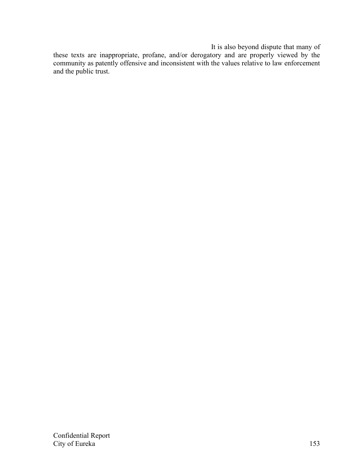It is also beyond dispute that many of

these texts are inappropriate, profane, and/or derogatory and are properly viewed by the community as patently offensive and inconsistent with the values relative to law enforcement and the public trust.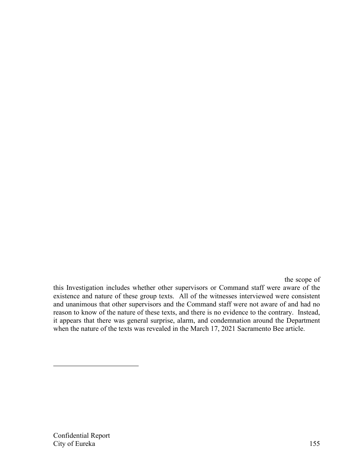the scope of

this Investigation includes whether other supervisors or Command staff were aware of the existence and nature of these group texts. All of the witnesses interviewed were consistent and unanimous that other supervisors and the Command staff were not aware of and had no reason to know of the nature of these texts, and there is no evidence to the contrary. Instead, it appears that there was general surprise, alarm, and condemnation around the Department when the nature of the texts was revealed in the March 17, 2021 Sacramento Bee article.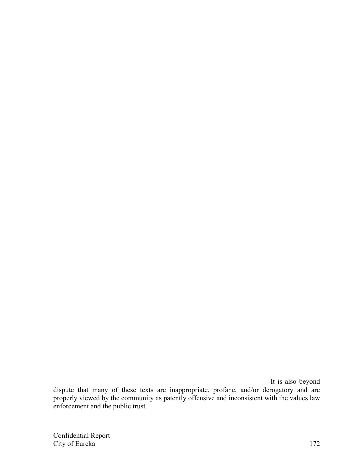It is also beyond dispute that many of these texts are inappropriate, profane, and/or derogatory and are properly viewed by the community as patently offensive and inconsistent with the values law enforcement and the public trust.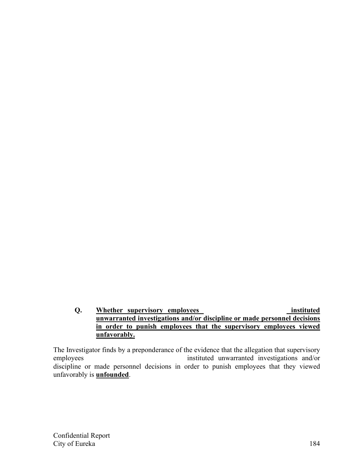#### **Q.** Whether supervisory employees instituted instituted **unwarranted investigations and/or discipline or made personnel decisions in order to punish employees that the supervisory employees viewed unfavorably.**

The Investigator finds by a preponderance of the evidence that the allegation that supervisory employees instituted unwarranted investigations and/or discipline or made personnel decisions in order to punish employees that they viewed unfavorably is **unfounded**.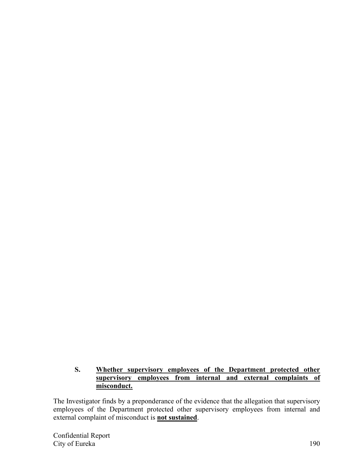### **S. Whether supervisory employees of the Department protected other supervisory employees from internal and external complaints of misconduct.**

The Investigator finds by a preponderance of the evidence that the allegation that supervisory employees of the Department protected other supervisory employees from internal and external complaint of misconduct is **not sustained**.